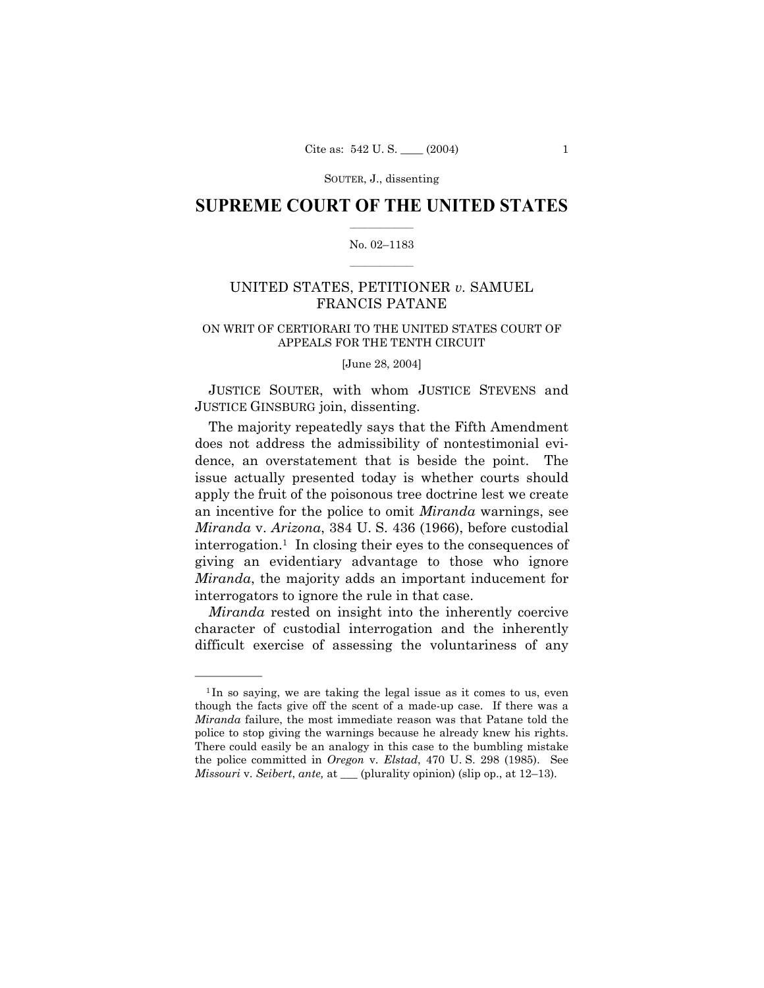SOUTER, J., dissenting

## **SUPREME COURT OF THE UNITED STATES**  $\mathcal{L}=\mathcal{L}^{\mathcal{L}}$

## No. 02-1183  $\frac{1}{2}$  ,  $\frac{1}{2}$  ,  $\frac{1}{2}$  ,  $\frac{1}{2}$  ,  $\frac{1}{2}$  ,  $\frac{1}{2}$

# UNITED STATES, PETITIONER *v.* SAMUEL FRANCIS PATANE

## ON WRIT OF CERTIORARI TO THE UNITED STATES COURT OF APPEALS FOR THE TENTH CIRCUIT

### [June 28, 2004]

JUSTICE SOUTER, with whom JUSTICE STEVENS and JUSTICE GINSBURG join, dissenting.

The majority repeatedly says that the Fifth Amendment does not address the admissibility of nontestimonial evidence, an overstatement that is beside the point. The issue actually presented today is whether courts should apply the fruit of the poisonous tree doctrine lest we create an incentive for the police to omit *Miranda* warnings, see *Miranda* v. *Arizona*, 384 U. S. 436 (1966), before custodial interrogation.1 In closing their eyes to the consequences of giving an evidentiary advantage to those who ignore *Miranda*, the majority adds an important inducement for interrogators to ignore the rule in that case.

*Miranda* rested on insight into the inherently coercive character of custodial interrogation and the inherently difficult exercise of assessing the voluntariness of any

<u>óóóóóóóóóóóóóó</u>

<sup>&</sup>lt;sup>1</sup>In so saying, we are taking the legal issue as it comes to us, even though the facts give off the scent of a made-up case. If there was a *Miranda* failure, the most immediate reason was that Patane told the police to stop giving the warnings because he already knew his rights. There could easily be an analogy in this case to the bumbling mistake the police committed in *Oregon* v. *Elstad*, 470 U. S. 298 (1985). See *Missouri v. Seibert, ante,* at \_\_\_ (plurality opinion) (slip op., at 12–13).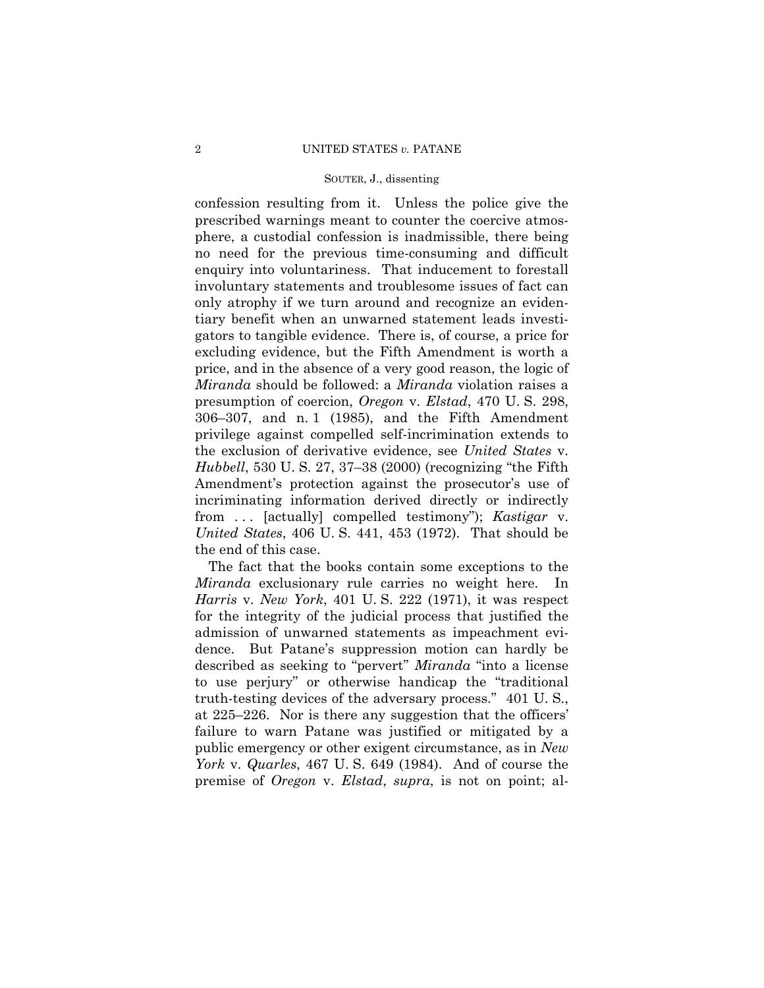#### SOUTER, J., dissenting

confession resulting from it. Unless the police give the prescribed warnings meant to counter the coercive atmosphere, a custodial confession is inadmissible, there being no need for the previous time-consuming and difficult enquiry into voluntariness. That inducement to forestall involuntary statements and troublesome issues of fact can only atrophy if we turn around and recognize an evidentiary benefit when an unwarned statement leads investigators to tangible evidence. There is, of course, a price for excluding evidence, but the Fifth Amendment is worth a price, and in the absence of a very good reason, the logic of *Miranda* should be followed: a *Miranda* violation raises a presumption of coercion, *Oregon* v. *Elstad*, 470 U. S. 298,  $306-307$ , and n. 1 (1985), and the Fifth Amendment privilege against compelled self-incrimination extends to the exclusion of derivative evidence, see *United States* v. *Hubbell*, 530 U. S. 27, 37–38 (2000) (recognizing "the Fifth Amendment's protection against the prosecutor's use of incriminating information derived directly or indirectly from . . . [actually] compelled testimonyî); *Kastigar* v. *United States*, 406 U. S. 441, 453 (1972). That should be the end of this case.

The fact that the books contain some exceptions to the *Miranda* exclusionary rule carries no weight here. In *Harris* v. *New York*, 401 U. S. 222 (1971), it was respect for the integrity of the judicial process that justified the admission of unwarned statements as impeachment evidence. But Pataneís suppression motion can hardly be described as seeking to "pervert" *Miranda* "into a license to use perjury" or otherwise handicap the "traditional truth-testing devices of the adversary process." 401 U.S., at  $225-226$ . Nor is there any suggestion that the officers' failure to warn Patane was justified or mitigated by a public emergency or other exigent circumstance, as in *New York* v. *Quarles*, 467 U. S. 649 (1984). And of course the premise of *Oregon* v. *Elstad*, *supra*, is not on point; al-